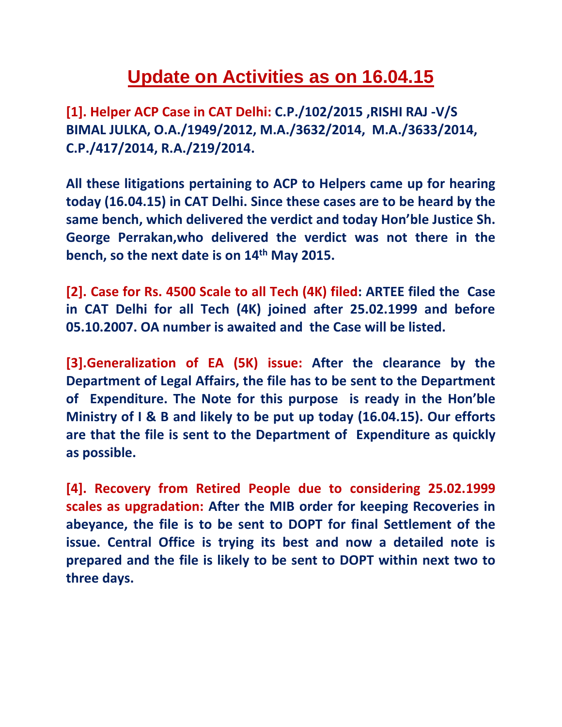## **Update on Activities as on 16.04.15**

**[1]. Helper ACP Case in CAT Delhi: C.P./102/2015 ,RISHI RAJ -V/S BIMAL JULKA, O.A./1949/2012, M.A./3632/2014, M.A./3633/2014, C.P./417/2014, R.A./219/2014.**

**All these litigations pertaining to ACP to Helpers came up for hearing today (16.04.15) in CAT Delhi. Since these cases are to be heard by the same bench, which delivered the verdict and today Hon'ble Justice Sh. George Perrakan,who delivered the verdict was not there in the bench, so the next date is on 14th May 2015.**

**[2]. Case for Rs. 4500 Scale to all Tech (4K) filed: ARTEE filed the Case in CAT Delhi for all Tech (4K) joined after 25.02.1999 and before 05.10.2007. OA number is awaited and the Case will be listed.**

**[3].Generalization of EA (5K) issue: After the clearance by the Department of Legal Affairs, the file has to be sent to the Department of Expenditure. The Note for this purpose is ready in the Hon'ble Ministry of I & B and likely to be put up today (16.04.15). Our efforts are that the file is sent to the Department of Expenditure as quickly as possible.**

**[4]. Recovery from Retired People due to considering 25.02.1999 scales as upgradation: After the MIB order for keeping Recoveries in abeyance, the file is to be sent to DOPT for final Settlement of the issue. Central Office is trying its best and now a detailed note is prepared and the file is likely to be sent to DOPT within next two to three days.**